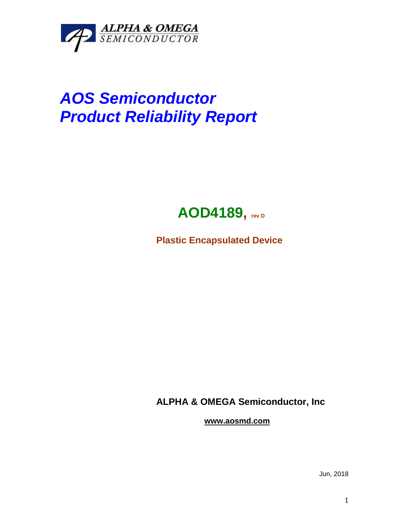

## *AOS Semiconductor Product Reliability Report*



**Plastic Encapsulated Device**

**ALPHA & OMEGA Semiconductor, Inc**

**www.aosmd.com**

Jun, 2018